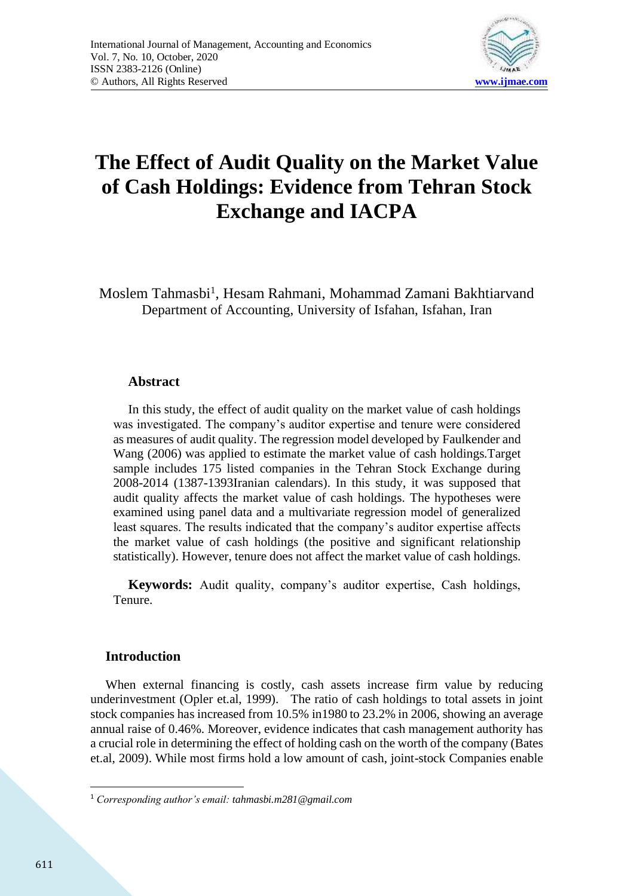

# **The Effect of Audit Quality on the Market Value of Cash Holdings: Evidence from Tehran Stock Exchange and IACPA**

Moslem Tahmasbi<sup>1</sup>, Hesam Rahmani, Mohammad Zamani Bakhtiarvand Department of Accounting, University of Isfahan, Isfahan, Iran

### **Abstract**

In this study, the effect of audit quality on the market value of cash holdings was investigated. The company's auditor expertise and tenure were considered as measures of audit quality. The regression model developed by Faulkender and Wang (2006) was applied to estimate the market value of cash holdings.Target sample includes 175 listed companies in the Tehran Stock Exchange during 2008-2014 (1387-1393Iranian calendars). In this study, it was supposed that audit quality affects the market value of cash holdings. The hypotheses were examined using panel data and a multivariate regression model of generalized least squares. The results indicated that the company's auditor expertise affects the market value of cash holdings (the positive and significant relationship statistically). However, tenure does not affect the market value of cash holdings.

**Keywords:** Audit quality, company's auditor expertise, Cash holdings, Tenure.

### **Introduction**

When external financing is costly, cash assets increase firm value by reducing underinvestment (Opler et.al, 1999). The ratio of cash holdings to total assets in joint stock companies has increased from 10.5% in1980 to 23.2% in 2006, showing an average annual raise of 0.46%. Moreover, evidence indicates that cash management authority has a crucial role in determining the effect of holding cash on the worth of the company (Bates et.al, 2009). While most firms hold a low amount of cash, joint-stock Companies enable

<sup>1</sup> *Corresponding author's email: tahmasbi.m281@gmail.com*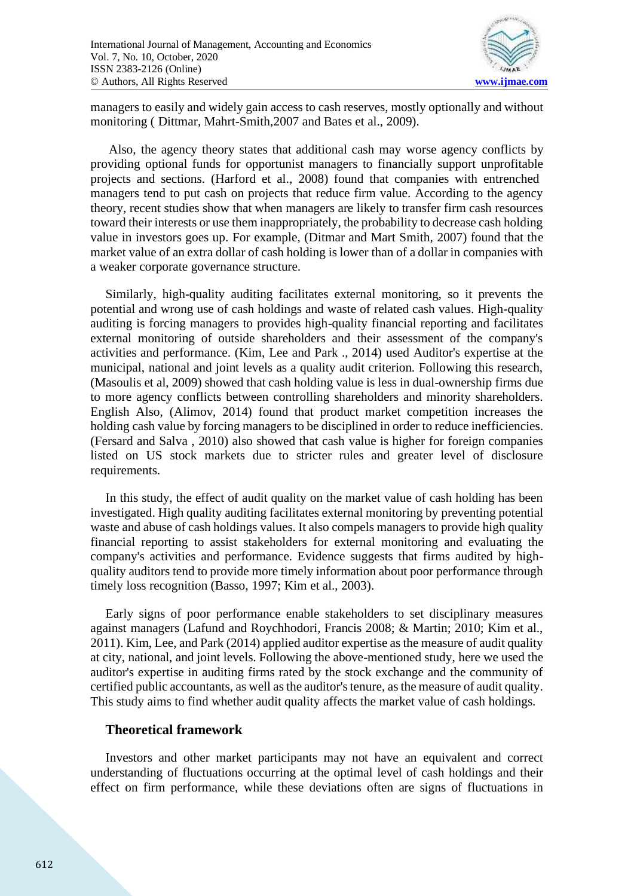

managers to easily and widely gain access to cash reserves, mostly optionally and without monitoring ( Dittmar, Mahrt-Smith,2007 and Bates et al., 2009).

Also, the agency theory states that additional cash may worse agency conflicts by providing optional funds for opportunist managers to financially support unprofitable projects and sections. (Harford et al., 2008) found that companies with entrenched managers tend to put cash on projects that reduce firm value. According to the agency theory, recent studies show that when managers are likely to transfer firm cash resources toward their interests or use them inappropriately, the probability to decrease cash holding value in investors goes up. For example, (Ditmar and Mart Smith, 2007) found that the market value of an extra dollar of cash holding is lower than of a dollar in companies with a weaker corporate governance structure.

Similarly, high-quality auditing facilitates external monitoring, so it prevents the potential and wrong use of cash holdings and waste of related cash values. High-quality auditing is forcing managers to provides high-quality financial reporting and facilitates external monitoring of outside shareholders and their assessment of the company's activities and performance. (Kim, Lee and Park ., 2014) used Auditor's expertise at the municipal, national and joint levels as a quality audit criterion. Following this research, (Masoulis et al, 2009) showed that cash holding value is less in dual-ownership firms due to more agency conflicts between controlling shareholders and minority shareholders. English Also, (Alimov, 2014) found that product market competition increases the holding cash value by forcing managers to be disciplined in order to reduce inefficiencies. (Fersard and Salva , 2010) also showed that cash value is higher for foreign companies listed on US stock markets due to stricter rules and greater level of disclosure requirements.

In this study, the effect of audit quality on the market value of cash holding has been investigated. High quality auditing facilitates external monitoring by preventing potential waste and abuse of cash holdings values. It also compels managers to provide high quality financial reporting to assist stakeholders for external monitoring and evaluating the company's activities and performance. Evidence suggests that firms audited by highquality auditors tend to provide more timely information about poor performance through timely loss recognition (Basso, 1997; Kim et al., 2003).

Early signs of poor performance enable stakeholders to set disciplinary measures against managers (Lafund and Roychhodori, Francis 2008; & Martin; 2010; Kim et al., 2011). Kim, Lee, and Park (2014) applied auditor expertise as the measure of audit quality at city, national, and joint levels. Following the above-mentioned study, here we used the auditor's expertise in auditing firms rated by the stock exchange and the community of certified public accountants, as well as the auditor's tenure, as the measure of audit quality. This study aims to find whether audit quality affects the market value of cash holdings.

### **Theoretical framework**

Investors and other market participants may not have an equivalent and correct understanding of fluctuations occurring at the optimal level of cash holdings and their effect on firm performance, while these deviations often are signs of fluctuations in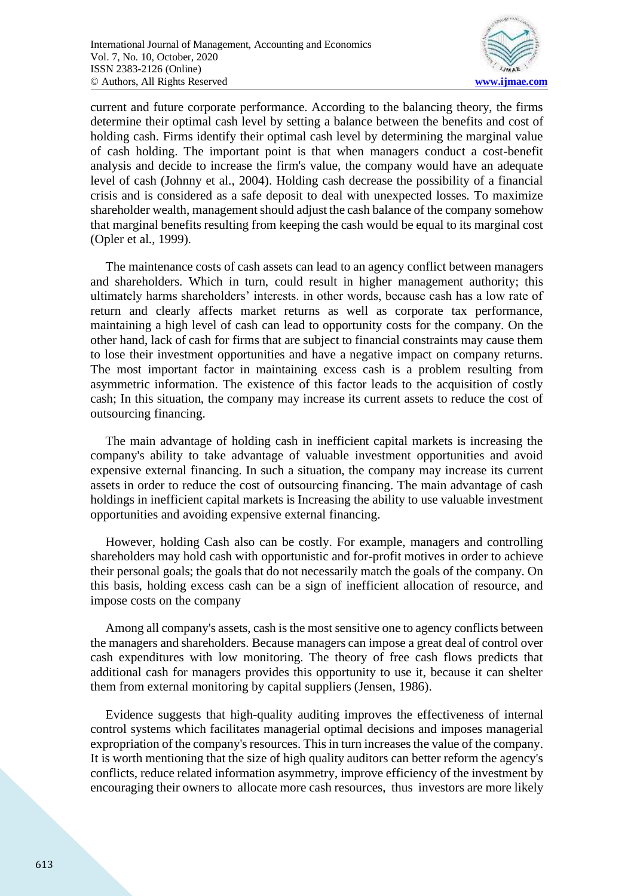

current and future corporate performance. According to the balancing theory, the firms determine their optimal cash level by setting a balance between the benefits and cost of holding cash. Firms identify their optimal cash level by determining the marginal value of cash holding. The important point is that when managers conduct a cost-benefit analysis and decide to increase the firm's value, the company would have an adequate level of cash (Johnny et al., 2004). Holding cash decrease the possibility of a financial crisis and is considered as a safe deposit to deal with unexpected losses. To maximize shareholder wealth, management should adjust the cash balance of the company somehow that marginal benefits resulting from keeping the cash would be equal to its marginal cost (Opler et al., 1999).

The maintenance costs of cash assets can lead to an agency conflict between managers and shareholders. Which in turn, could result in higher management authority; this ultimately harms shareholders' interests. in other words, because cash has a low rate of return and clearly affects market returns as well as corporate tax performance, maintaining a high level of cash can lead to opportunity costs for the company. On the other hand, lack of cash for firms that are subject to financial constraints may cause them to lose their investment opportunities and have a negative impact on company returns. The most important factor in maintaining excess cash is a problem resulting from asymmetric information. The existence of this factor leads to the acquisition of costly cash; In this situation, the company may increase its current assets to reduce the cost of outsourcing financing.

The main advantage of holding cash in inefficient capital markets is increasing the company's ability to take advantage of valuable investment opportunities and avoid expensive external financing. In such a situation, the company may increase its current assets in order to reduce the cost of outsourcing financing. The main advantage of cash holdings in inefficient capital markets is Increasing the ability to use valuable investment opportunities and avoiding expensive external financing.

However, holding Cash also can be costly. For example, managers and controlling shareholders may hold cash with opportunistic and for-profit motives in order to achieve their personal goals; the goals that do not necessarily match the goals of the company. On this basis, holding excess cash can be a sign of inefficient allocation of resource, and impose costs on the company

Among all company's assets, cash is the most sensitive one to agency conflicts between the managers and shareholders. Because managers can impose a great deal of control over cash expenditures with low monitoring. The theory of free cash flows predicts that additional cash for managers provides this opportunity to use it, because it can shelter them from external monitoring by capital suppliers (Jensen, 1986).

Evidence suggests that high-quality auditing improves the effectiveness of internal control systems which facilitates managerial optimal decisions and imposes managerial expropriation of the company's resources. This in turn increases the value of the company. It is worth mentioning that the size of high quality auditors can better reform the agency's conflicts, reduce related information asymmetry, improve efficiency of the investment by encouraging their owners to allocate more cash resources, thus investors are more likely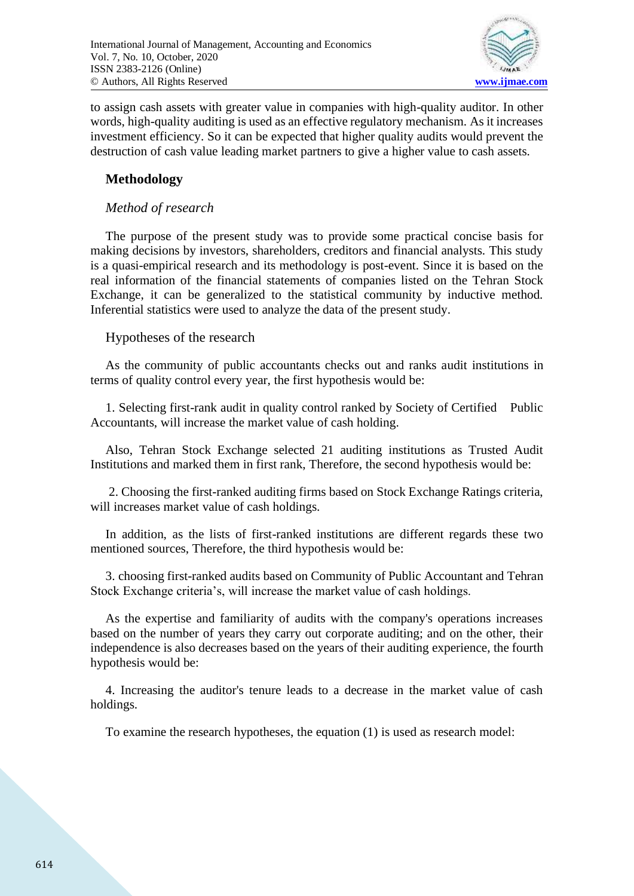

to assign cash assets with greater value in companies with high-quality auditor. In other words, high-quality auditing is used as an effective regulatory mechanism. As it increases investment efficiency. So it can be expected that higher quality audits would prevent the destruction of cash value leading market partners to give a higher value to cash assets.

## **Methodology**

### *Method of research*

The purpose of the present study was to provide some practical concise basis for making decisions by investors, shareholders, creditors and financial analysts. This study is a quasi-empirical research and its methodology is post-event. Since it is based on the real information of the financial statements of companies listed on the Tehran Stock Exchange, it can be generalized to the statistical community by inductive method. Inferential statistics were used to analyze the data of the present study.

Hypotheses of the research

As the community of public accountants checks out and ranks audit institutions in terms of quality control every year, the first hypothesis would be:

1. Selecting first-rank audit in quality control ranked by Society of Certified Public Accountants, will increase the market value of cash holding.

Also, Tehran Stock Exchange selected 21 auditing institutions as Trusted Audit Institutions and marked them in first rank, Therefore, the second hypothesis would be:

2. Choosing the first-ranked auditing firms based on Stock Exchange Ratings criteria, will increases market value of cash holdings.

In addition, as the lists of first-ranked institutions are different regards these two mentioned sources, Therefore, the third hypothesis would be:

3. choosing first-ranked audits based on Community of Public Accountant and Tehran Stock Exchange criteria's, will increase the market value of cash holdings.

As the expertise and familiarity of audits with the company's operations increases based on the number of years they carry out corporate auditing; and on the other, their independence is also decreases based on the years of their auditing experience, the fourth hypothesis would be:

4. Increasing the auditor's tenure leads to a decrease in the market value of cash holdings.

To examine the research hypotheses, the equation (1) is used as research model: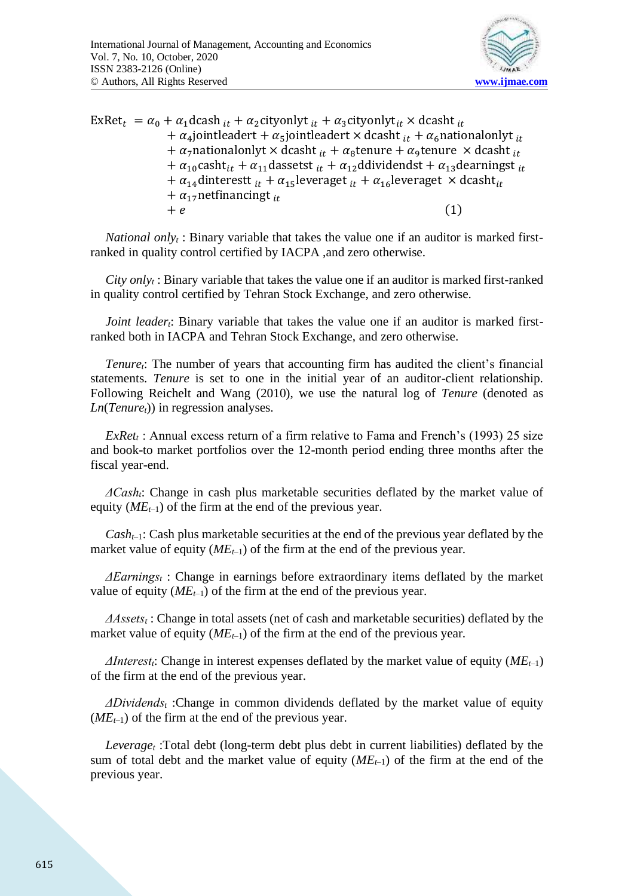

ExRet<sub>t</sub> =  $\alpha_0 + \alpha_1$ dcash  $_{it} + \alpha_2$ cityonlyt  $_{it} + \alpha_3$ cityonlyt $_{it} \times$ dcasht  $_{it}$ +  $\alpha_4$ jointleadert +  $\alpha_5$ jointleadert × dcasht  $_{it}$  +  $\alpha_6$ nationalonlyt  $_{it}$ +  $\alpha_7$ nationalonlyt × dcasht  $_{it}$  +  $\alpha_8$ tenure +  $\alpha_9$ tenure × dcasht  $_{it}$ +  $\alpha_{10}$ casht<sub>it</sub> +  $\alpha_{11}$ dassetst  $_{it}$  +  $\alpha_{12}$ ddividendst +  $\alpha_{13}$ dearningst  $_{it}$ +  $\alpha_{14}$ dinterestt  $_{it}$  +  $\alpha_{15}$ leveraget  $_{it}$  +  $\alpha_{16}$ leveraget  $\times$  dcasht<sub>it</sub> +  $\alpha_{17}$ netfinancingt <sub>it</sub>  $+ e$  (1)

*National only<sup>t</sup>* : Binary variable that takes the value one if an auditor is marked firstranked in quality control certified by IACPA ,and zero otherwise.

*City only<sup>t</sup>* : Binary variable that takes the value one if an auditor is marked first-ranked in quality control certified by Tehran Stock Exchange, and zero otherwise.

*Joint leadert*: Binary variable that takes the value one if an auditor is marked firstranked both in IACPA and Tehran Stock Exchange, and zero otherwise.

*Tenuret*: The number of years that accounting firm has audited the client's financial statements. *Tenure* is set to one in the initial year of an auditor-client relationship. Following Reichelt and Wang (2010), we use the natural log of *Tenure* (denoted as *Ln*(*Tenuret*)) in regression analyses.

*ExRet<sup>t</sup>* : Annual excess return of a firm relative to Fama and French's (1993) 25 size and book-to market portfolios over the 12-month period ending three months after the fiscal year-end.

*ΔCasht*: Change in cash plus marketable securities deflated by the market value of equity  $(ME_{t-1})$  of the firm at the end of the previous year.

*Casht*–1: Cash plus marketable securities at the end of the previous year deflated by the market value of equity  $(ME_{t-1})$  of the firm at the end of the previous year.

*ΔEarnings<sup>t</sup>* : Change in earnings before extraordinary items deflated by the market value of equity  $(ME_{t-1})$  of the firm at the end of the previous year.

*ΔAssets<sup>t</sup>* : Change in total assets (net of cash and marketable securities) deflated by the market value of equity  $(ME_{t-1})$  of the firm at the end of the previous year.

*ΔInterestt*: Change in interest expenses deflated by the market value of equity (*MEt*–1) of the firm at the end of the previous year.

*ΔDividends<sup>t</sup>* :Change in common dividends deflated by the market value of equity  $(ME<sub>t-1</sub>)$  of the firm at the end of the previous year.

*Leverage<sup>t</sup>* :Total debt (long-term debt plus debt in current liabilities) deflated by the sum of total debt and the market value of equity  $(ME_{t-1})$  of the firm at the end of the previous year.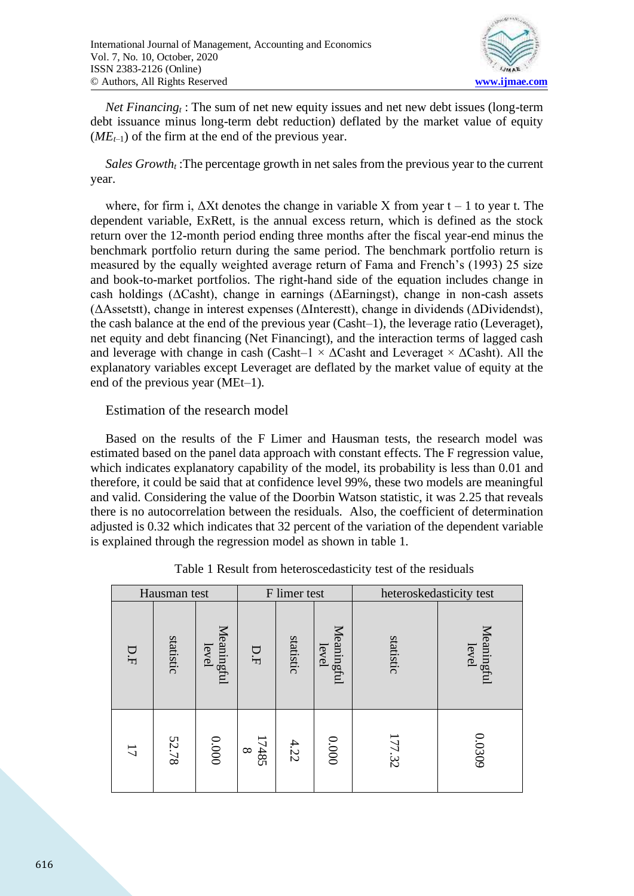

*Net Financing<sup>t</sup>* : The sum of net new equity issues and net new debt issues (long-term debt issuance minus long-term debt reduction) deflated by the market value of equity  $(ME_{t-1})$  of the firm at the end of the previous year.

*Sales Growth<sup>t</sup>* :The percentage growth in net sales from the previous year to the current year.

where, for firm i,  $\Delta Xt$  denotes the change in variable X from year  $t - 1$  to year t. The dependent variable, ExRett, is the annual excess return, which is defined as the stock return over the 12-month period ending three months after the fiscal year-end minus the benchmark portfolio return during the same period. The benchmark portfolio return is measured by the equally weighted average return of Fama and French's (1993) 25 size and book-to-market portfolios. The right-hand side of the equation includes change in cash holdings (ΔCasht), change in earnings (ΔEarningst), change in non-cash assets (ΔAssetstt), change in interest expenses (ΔInterestt), change in dividends (ΔDividendst), the cash balance at the end of the previous year (Casht–1), the leverage ratio (Leveraget), net equity and debt financing (Net Financingt), and the interaction terms of lagged cash and leverage with change in cash (Casht–1  $\times$   $\Delta$ Casht and Leveraget  $\times$   $\Delta$ Casht). All the explanatory variables except Leveraget are deflated by the market value of equity at the end of the previous year (MEt–1).

### Estimation of the research model

Based on the results of the F Limer and Hausman tests, the research model was estimated based on the panel data approach with constant effects. The F regression value, which indicates explanatory capability of the model, its probability is less than 0.01 and therefore, it could be said that at confidence level 99%, these two models are meaningful and valid. Considering the value of the Doorbin Watson statistic, it was 2.25 that reveals there is no autocorrelation between the residuals. Also, the coefficient of determination adjusted is 0.32 which indicates that 32 percent of the variation of the dependent variable is explained through the regression model as shown in table 1.

| Hausman test   |           |                     | F limer test      |           |                     | heteroskedasticity test |                     |  |
|----------------|-----------|---------------------|-------------------|-----------|---------------------|-------------------------|---------------------|--|
| D.F            | statistic | Meaningful<br>level | D.F               | statistic | Meaningful<br>level | statistic               | Meaningful<br>level |  |
| $\overline{L}$ | 52.78     | 0000                | 17485<br>$\infty$ | 4.22      | 0000                | 177.32                  | 0.0309              |  |

| Table 1 Result from heteroscedasticity test of the residuals |
|--------------------------------------------------------------|
|--------------------------------------------------------------|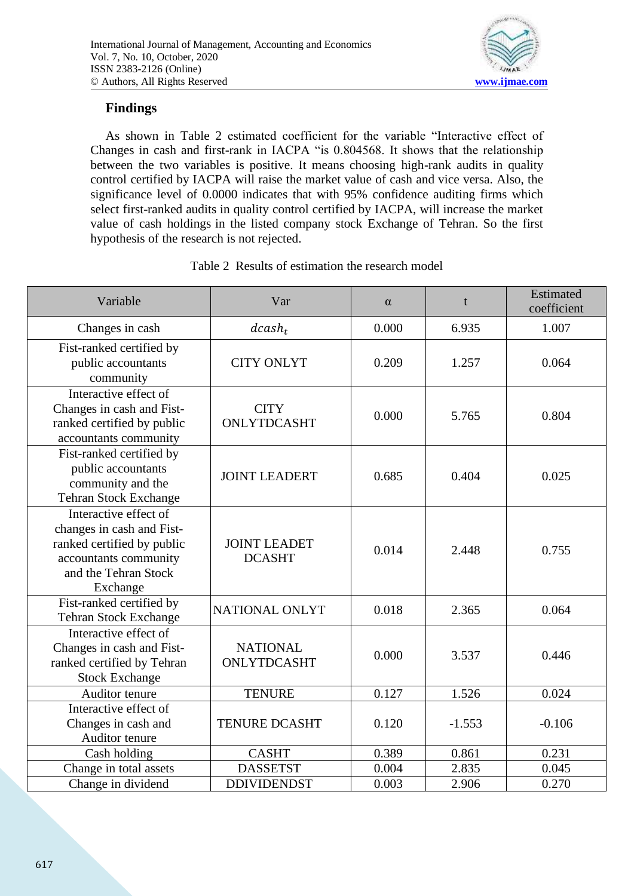

# **Findings**

As shown in Table 2 estimated coefficient for the variable "Interactive effect of Changes in cash and first-rank in IACPA "is 0.804568. It shows that the relationship between the two variables is positive. It means choosing high-rank audits in quality control certified by IACPA will raise the market value of cash and vice versa. Also, the significance level of 0.0000 indicates that with 95% confidence auditing firms which select first-ranked audits in quality control certified by IACPA, will increase the market value of cash holdings in the listed company stock Exchange of Tehran. So the first hypothesis of the research is not rejected.

| Variable                                                                                                                                      | Var                                  | $\alpha$ | t        | Estimated<br>coefficient |
|-----------------------------------------------------------------------------------------------------------------------------------------------|--------------------------------------|----------|----------|--------------------------|
| Changes in cash                                                                                                                               | $dcash_t$                            | 0.000    | 6.935    | 1.007                    |
| Fist-ranked certified by<br>public accountants<br>community                                                                                   | <b>CITY ONLYT</b>                    | 0.209    | 1.257    | 0.064                    |
| Interactive effect of<br>Changes in cash and Fist-<br>ranked certified by public<br>accountants community                                     | <b>CITY</b><br>ONLYTDCASHT           | 0.000    | 5.765    | 0.804                    |
| Fist-ranked certified by<br>public accountants<br>community and the<br><b>Tehran Stock Exchange</b>                                           | <b>JOINT LEADERT</b>                 | 0.685    | 0.404    | 0.025                    |
| Interactive effect of<br>changes in cash and Fist-<br>ranked certified by public<br>accountants community<br>and the Tehran Stock<br>Exchange | <b>JOINT LEADET</b><br><b>DCASHT</b> | 0.014    | 2.448    | 0.755                    |
| Fist-ranked certified by<br><b>Tehran Stock Exchange</b>                                                                                      | NATIONAL ONLYT                       | 0.018    | 2.365    | 0.064                    |
| Interactive effect of<br>Changes in cash and Fist-<br>ranked certified by Tehran<br><b>Stock Exchange</b>                                     | <b>NATIONAL</b><br>ONLYTDCASHT       | 0.000    | 3.537    | 0.446                    |
| Auditor tenure                                                                                                                                | <b>TENURE</b>                        | 0.127    | 1.526    | 0.024                    |
| Interactive effect of<br>Changes in cash and<br>Auditor tenure                                                                                | <b>TENURE DCASHT</b>                 | 0.120    | $-1.553$ | $-0.106$                 |
| Cash holding                                                                                                                                  | <b>CASHT</b>                         | 0.389    | 0.861    | 0.231                    |
| Change in total assets                                                                                                                        | <b>DASSETST</b>                      | 0.004    | 2.835    | 0.045                    |
| Change in dividend                                                                                                                            | <b>DDIVIDENDST</b>                   | 0.003    | 2.906    | 0.270                    |

### Table 2 Results of estimation the research model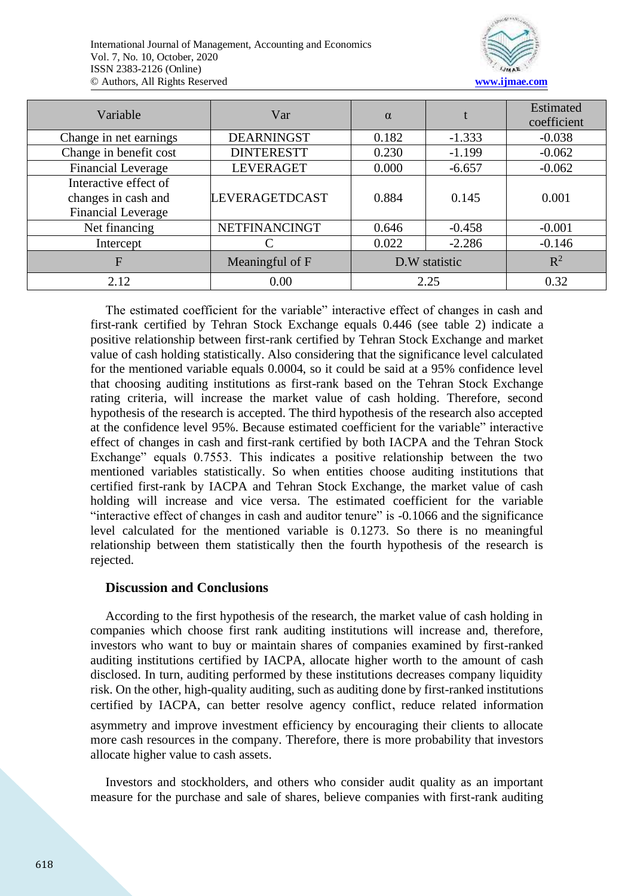

| Variable                                                                  | Var               | $\alpha$      |          | Estimated<br>coefficient |
|---------------------------------------------------------------------------|-------------------|---------------|----------|--------------------------|
| Change in net earnings                                                    | <b>DEARNINGST</b> | 0.182         | $-1.333$ | $-0.038$                 |
| Change in benefit cost                                                    | <b>DINTERESTT</b> | 0.230         | $-1.199$ | $-0.062$                 |
| <b>Financial Leverage</b>                                                 | <b>LEVERAGET</b>  | 0.000         | $-6.657$ | $-0.062$                 |
| Interactive effect of<br>changes in cash and<br><b>Financial Leverage</b> | LEVERAGETDCAST    | 0.884         | 0.145    | 0.001                    |
| Net financing                                                             | NETFINANCINGT     | 0.646         | $-0.458$ | $-0.001$                 |
| Intercept                                                                 |                   | 0.022         | $-2.286$ | $-0.146$                 |
| F                                                                         | Meaningful of F   | D.W statistic |          | $R^2$                    |
| 2.12                                                                      | 0.00              | 2.25          |          | 0.32                     |

The estimated coefficient for the variable" interactive effect of changes in cash and first-rank certified by Tehran Stock Exchange equals 0.446 (see table 2) indicate a positive relationship between first-rank certified by Tehran Stock Exchange and market value of cash holding statistically. Also considering that the significance level calculated for the mentioned variable equals 0.0004, so it could be said at a 95% confidence level that choosing auditing institutions as first-rank based on the Tehran Stock Exchange rating criteria, will increase the market value of cash holding. Therefore, second hypothesis of the research is accepted. The third hypothesis of the research also accepted at the confidence level 95%. Because estimated coefficient for the variable" interactive effect of changes in cash and first-rank certified by both IACPA and the Tehran Stock Exchange" equals 0.7553. This indicates a positive relationship between the two mentioned variables statistically. So when entities choose auditing institutions that certified first-rank by IACPA and Tehran Stock Exchange, the market value of cash holding will increase and vice versa. The estimated coefficient for the variable "interactive effect of changes in cash and auditor tenure" is -0.1066 and the significance level calculated for the mentioned variable is 0.1273. So there is no meaningful relationship between them statistically then the fourth hypothesis of the research is rejected.

### **Discussion and Conclusions**

According to the first hypothesis of the research, the market value of cash holding in companies which choose first rank auditing institutions will increase and, therefore, investors who want to buy or maintain shares of companies examined by first-ranked auditing institutions certified by IACPA, allocate higher worth to the amount of cash disclosed. In turn, auditing performed by these institutions decreases company liquidity risk. On the other, high-quality auditing, such as auditing done by first-ranked institutions certified by IACPA, can better resolve agency conflict, reduce related information

asymmetry and improve investment efficiency by encouraging their clients to allocate more cash resources in the company. Therefore, there is more probability that investors allocate higher value to cash assets.

Investors and stockholders, and others who consider audit quality as an important measure for the purchase and sale of shares, believe companies with first-rank auditing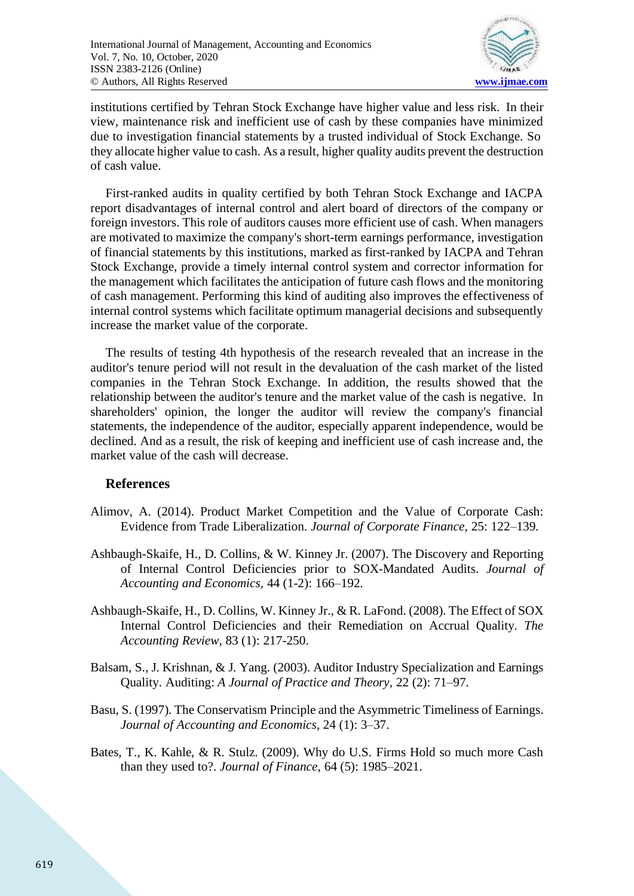

institutions certified by Tehran Stock Exchange have higher value and less risk. In their view, maintenance risk and inefficient use of cash by these companies have minimized due to investigation financial statements by a trusted individual of Stock Exchange. So they allocate higher value to cash. As a result, higher quality audits prevent the destruction of cash value.

First-ranked audits in quality certified by both Tehran Stock Exchange and IACPA report disadvantages of internal control and alert board of directors of the company or foreign investors. This role of auditors causes more efficient use of cash. When managers are motivated to maximize the company's short-term earnings performance, investigation of financial statements by this institutions, marked as first-ranked by IACPA and Tehran Stock Exchange, provide a timely internal control system and corrector information for the management which facilitates the anticipation of future cash flows and the monitoring of cash management. Performing this kind of auditing also improves the effectiveness of internal control systems which facilitate optimum managerial decisions and subsequently increase the market value of the corporate.

The results of testing 4th hypothesis of the research revealed that an increase in the auditor's tenure period will not result in the devaluation of the cash market of the listed companies in the Tehran Stock Exchange. In addition, the results showed that the relationship between the auditor's tenure and the market value of the cash is negative. In shareholders' opinion, the longer the auditor will review the company's financial statements, the independence of the auditor, especially apparent independence, would be declined. And as a result, the risk of keeping and inefficient use of cash increase and, the market value of the cash will decrease.

### **References**

- Alimov, A. (2014). Product Market Competition and the Value of Corporate Cash: Evidence from Trade Liberalization. *Journal of Corporate Finance*, 25: 122–139.
- Ashbaugh-Skaife, H., D. Collins, & W. Kinney Jr. (2007). The Discovery and Reporting of Internal Control Deficiencies prior to SOX-Mandated Audits. *Journal of Accounting and Economics,* 44 (1-2): 166–192.
- Ashbaugh-Skaife, H., D. Collins, W. Kinney Jr., & R. LaFond. (2008). The Effect of SOX Internal Control Deficiencies and their Remediation on Accrual Quality. *The Accounting Review*, 83 (1): 217-250.
- Balsam, S., J. Krishnan, & J. Yang. (2003). Auditor Industry Specialization and Earnings Quality. Auditing: *A Journal of Practice and Theory*, 22 (2): 71–97.
- Basu, S. (1997). The Conservatism Principle and the Asymmetric Timeliness of Earnings. *Journal of Accounting and Economics*, 24 (1): 3–37.
- Bates, T., K. Kahle, & R. Stulz. (2009). Why do U.S. Firms Hold so much more Cash than they used to?. *Journal of Finance,* 64 (5): 1985–2021.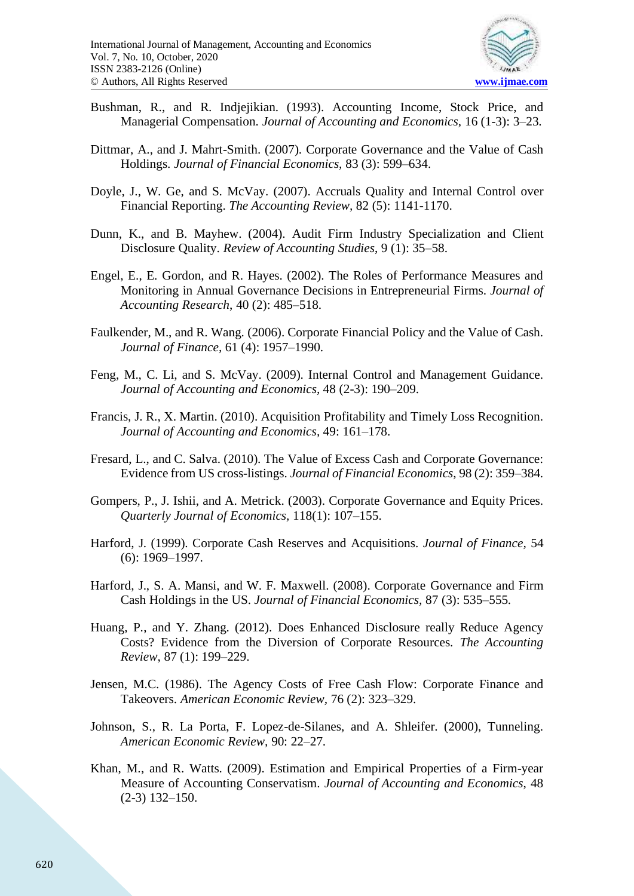

- Bushman, R., and R. Indjejikian. (1993). Accounting Income, Stock Price, and Managerial Compensation. *Journal of Accounting and Economics,* 16 (1-3): 3–23.
- Dittmar, A., and J. Mahrt-Smith. (2007). Corporate Governance and the Value of Cash Holdings. *Journal of Financial Economics,* 83 (3): 599–634.
- Doyle, J., W. Ge, and S. McVay. (2007). Accruals Quality and Internal Control over Financial Reporting. *The Accounting Review,* 82 (5): 1141-1170.
- Dunn, K., and B. Mayhew. (2004). Audit Firm Industry Specialization and Client Disclosure Quality. *Review of Accounting Studies*, 9 (1): 35–58.
- Engel, E., E. Gordon, and R. Hayes. (2002). The Roles of Performance Measures and Monitoring in Annual Governance Decisions in Entrepreneurial Firms. *Journal of Accounting Research*, 40 (2): 485–518.
- Faulkender, M., and R. Wang. (2006). Corporate Financial Policy and the Value of Cash. *Journal of Finance,* 61 (4): 1957–1990.
- Feng, M., C. Li, and S. McVay. (2009). Internal Control and Management Guidance. *Journal of Accounting and Economics,* 48 (2-3): 190–209.
- Francis, J. R., X. Martin. (2010). Acquisition Profitability and Timely Loss Recognition. *Journal of Accounting and Economics,* 49: 161–178.
- Fresard, L., and C. Salva. (2010). The Value of Excess Cash and Corporate Governance: Evidence from US cross-listings. *Journal of Financial Economics*, 98 (2): 359–384.
- Gompers, P., J. Ishii, and A. Metrick. (2003). Corporate Governance and Equity Prices. *Quarterly Journal of Economics,* 118(1): 107–155.
- Harford, J. (1999). Corporate Cash Reserves and Acquisitions. *Journal of Finance,* 54 (6): 1969–1997.
- Harford, J., S. A. Mansi, and W. F. Maxwell. (2008). Corporate Governance and Firm Cash Holdings in the US. *Journal of Financial Economics,* 87 (3): 535–555.
- Huang, P., and Y. Zhang. (2012). Does Enhanced Disclosure really Reduce Agency Costs? Evidence from the Diversion of Corporate Resources. *The Accounting Review*, 87 (1): 199–229.
- Jensen, M.C. (1986). The Agency Costs of Free Cash Flow: Corporate Finance and Takeovers. *American Economic Review,* 76 (2): 323–329.
- Johnson, S., R. La Porta, F. Lopez-de-Silanes, and A. Shleifer. (2000), Tunneling. *American Economic Review,* 90: 22–27.
- Khan, M., and R. Watts. (2009). Estimation and Empirical Properties of a Firm-year Measure of Accounting Conservatism. *Journal of Accounting and Economics*, 48 (2-3) 132–150.